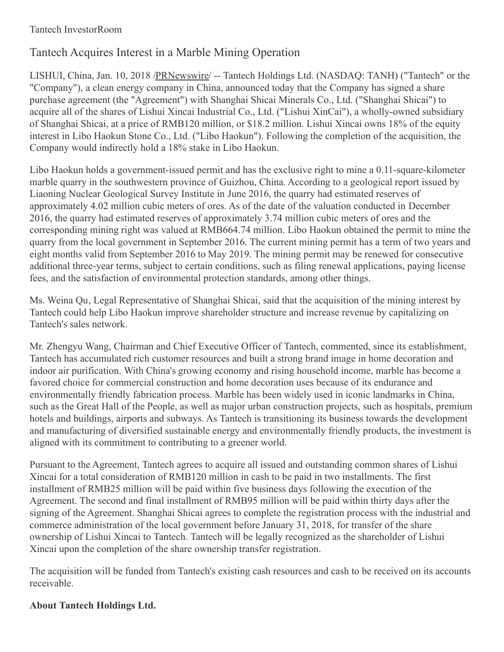### Tantech InvestorRoom

# Tantech Acquires Interest in a Marble Mining Operation

LISHUI, China, Jan. 10, 2018 [/PRNewswire](http://www.prnewswire.com/)/ -- Tantech Holdings Ltd. (NASDAQ: TANH) ("Tantech" or the "Company"), a clean energy company in China, announced today that the Company has signed a share purchase agreement (the "Agreement") with Shanghai Shicai Minerals Co., Ltd. ("Shanghai Shicai") to acquire all of the shares of Lishui Xincai Industrial Co., Ltd. ("Lishui XinCai"), a wholly-owned subsidiary of Shanghai Shicai, at a price of RMB120 million, or \$18.2 million. Lishui Xincai owns 18% of the equity interest in Libo Haokun Stone Co., Ltd. ("Libo Haokun"). Following the completion of the acquisition, the Company would indirectly hold a 18% stake in Libo Haokun.

Libo Haokun holds a government-issued permit and has the exclusive right to mine a 0.11-square-kilometer marble quarry in the southwestern province of Guizhou, China. According to a geological report issued by Liaoning Nuclear Geological Survey Institute in June 2016, the quarry had estimated reserves of approximately 4.02 million cubic meters of ores. As of the date of the valuation conducted in December 2016, the quarry had estimated reserves of approximately 3.74 million cubic meters of ores and the corresponding mining right was valued at RMB664.74 million. Libo Haokun obtained the permit to mine the quarry from the local government in September 2016. The current mining permit has a term of two years and eight months valid from September 2016 to May 2019. The mining permit may be renewed for consecutive additional three-year terms, subject to certain conditions, such as filing renewal applications, paying license fees, and the satisfaction of environmental protection standards, among other things.

Ms. Weina Qu, Legal Representative of Shanghai Shicai, said that the acquisition of the mining interest by Tantech could help Libo Haokun improve shareholder structure and increase revenue by capitalizing on Tantech's sales network.

Mr. Zhengyu Wang, Chairman and Chief Executive Officer of Tantech, commented, since its establishment, Tantech has accumulated rich customer resources and built a strong brand image in home decoration and indoor air purification. With China's growing economy and rising household income, marble has become a favored choice for commercial construction and home decoration uses because of its endurance and environmentally friendly fabrication process. Marble has been widely used in iconic landmarks in China, such as the Great Hall of the People, as well as major urban construction projects, such as hospitals, premium hotels and buildings, airports and subways. As Tantech is transitioning its business towards the development and manufacturing of diversified sustainable energy and environmentally friendly products, the investment is aligned with its commitment to contributing to a greener world.

Pursuant to the Agreement, Tantech agrees to acquire all issued and outstanding common shares of Lishui Xincai for a total consideration of RMB120 million in cash to be paid in two installments. The first installment of RMB25 million will be paid within five business days following the execution of the Agreement. The second and final installment of RMB95 million will be paid within thirty days after the signing of the Agreement. Shanghai Shicai agrees to complete the registration process with the industrial and commerce administration of the local government before January 31, 2018, for transfer of the share ownership of Lishui Xincai to Tantech. Tantech will be legally recognized as the shareholder of Lishui Xincai upon the completion of the share ownership transfer registration.

The acquisition will be funded from Tantech's existing cash resources and cash to be received on its accounts receivable.

## **About Tantech Holdings Ltd.**